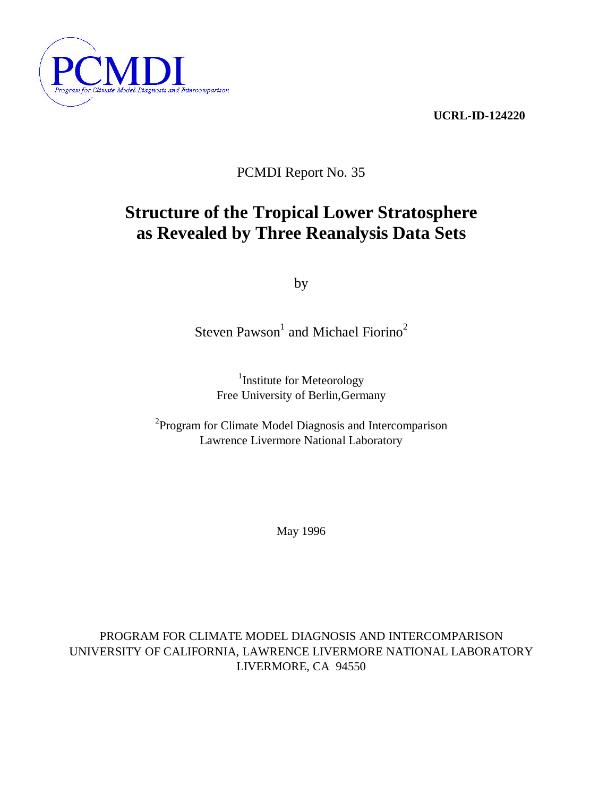



PCMDI Report No. 35

# **Structure of the Tropical Lower Stratosphere as Revealed by Three Reanalysis Data Sets**

by

Steven Pawson<sup>1</sup> and Michael Fiorino<sup>2</sup>

<sup>1</sup>Institute for Meteorology Free University of Berlin,Germany

<sup>2</sup> Program for Climate Model Diagnosis and Intercomparison Lawrence Livermore National Laboratory

May 1996

PROGRAM FOR CLIMATE MODEL DIAGNOSIS AND INTERCOMPARISON UNIVERSITY OF CALIFORNIA, LAWRENCE LIVERMORE NATIONAL LABORATORY LIVERMORE, CA 94550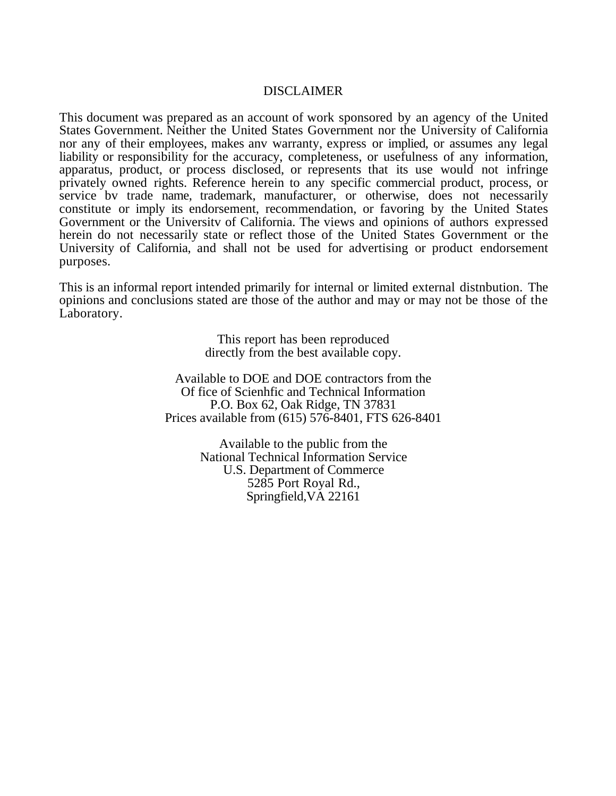## DISCLAIMER

This document was prepared as an account of work sponsored by an agency of the United States Government. Neither the United States Government nor the University of California nor any of their employees, makes anv warranty, express or implied, or assumes any legal liability or responsibility for the accuracy, completeness, or usefulness of any information, apparatus, product, or process disclosed, or represents that its use would not infringe privately owned rights. Reference herein to any specific commercial product, process, or service bv trade name, trademark, manufacturer, or otherwise, does not necessarily constitute or imply its endorsement, recommendation, or favoring by the United States Government or the Universitv of California. The views and opinions of authors expressed herein do not necessarily state or reflect those of the United States Government or the University of California, and shall not be used for advertising or product endorsement purposes.

This is an informal report intended primarily for internal or limited external distnbution. The opinions and conclusions stated are those of the author and may or may not be those of the Laboratory.

> This report has been reproduced directly from the best available copy.

Available to DOE and DOE contractors from the Of fice of Scienhfic and Technical Information P.O. Box 62, Oak Ridge, TN 37831 Prices available from (615) 576-8401, FTS 626-8401

> Available to the public from the National Technical Information Service U.S. Department of Commerce 5285 Port Royal Rd., Springfield,VA 22161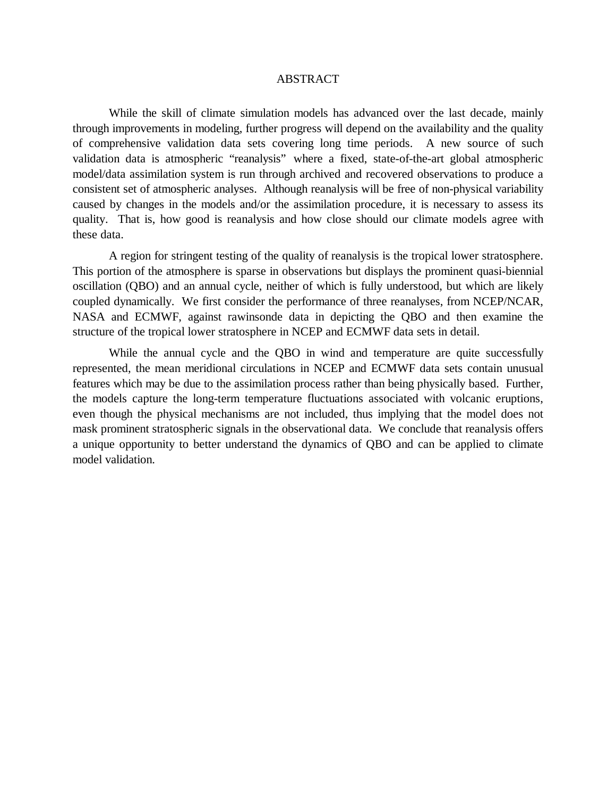#### ABSTRACT

While the skill of climate simulation models has advanced over the last decade, mainly through improvements in modeling, further progress will depend on the availability and the quality of comprehensive validation data sets covering long time periods. A new source of such validation data is atmospheric "reanalysis" where a fixed, state-of-the-art global atmospheric model/data assimilation system is run through archived and recovered observations to produce a consistent set of atmospheric analyses. Although reanalysis will be free of non-physical variability caused by changes in the models and/or the assimilation procedure, it is necessary to assess its quality. That is, how good is reanalysis and how close should our climate models agree with these data.

A region for stringent testing of the quality of reanalysis is the tropical lower stratosphere. This portion of the atmosphere is sparse in observations but displays the prominent quasi-biennial oscillation (QBO) and an annual cycle, neither of which is fully understood, but which are likely coupled dynamically. We first consider the performance of three reanalyses, from NCEP/NCAR, NASA and ECMWF, against rawinsonde data in depicting the QBO and then examine the structure of the tropical lower stratosphere in NCEP and ECMWF data sets in detail.

While the annual cycle and the QBO in wind and temperature are quite successfully represented, the mean meridional circulations in NCEP and ECMWF data sets contain unusual features which may be due to the assimilation process rather than being physically based. Further, the models capture the long-term temperature fluctuations associated with volcanic eruptions, even though the physical mechanisms are not included, thus implying that the model does not mask prominent stratospheric signals in the observational data. We conclude that reanalysis offers a unique opportunity to better understand the dynamics of QBO and can be applied to climate model validation.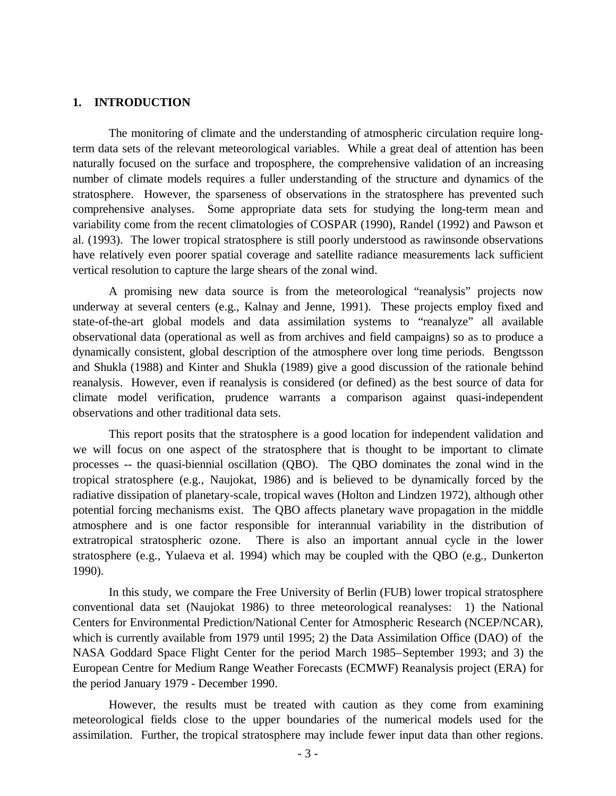## **1. INTRODUCTION**

The monitoring of climate and the understanding of atmospheric circulation require longterm data sets of the relevant meteorological variables. While a great deal of attention has been naturally focused on the surface and troposphere, the comprehensive validation of an increasing number of climate models requires a fuller understanding of the structure and dynamics of the stratosphere. However, the sparseness of observations in the stratosphere has prevented such comprehensive analyses. Some appropriate data sets for studying the long-term mean and variability come from the recent climatologies of COSPAR (1990), Randel (1992) and Pawson et al. (1993). The lower tropical stratosphere is still poorly understood as rawinsonde observations have relatively even poorer spatial coverage and satellite radiance measurements lack sufficient vertical resolution to capture the large shears of the zonal wind.

A promising new data source is from the meteorological "reanalysis" projects now underway at several centers (e.g., Kalnay and Jenne, 1991). These projects employ fixed and state-of-the-art global models and data assimilation systems to "reanalyze" all available observational data (operational as well as from archives and field campaigns) so as to produce a dynamically consistent, global description of the atmosphere over long time periods. Bengtsson and Shukla (1988) and Kinter and Shukla (1989) give a good discussion of the rationale behind reanalysis. However, even if reanalysis is considered (or defined) as the best source of data for climate model verification, prudence warrants a comparison against quasi-independent observations and other traditional data sets.

This report posits that the stratosphere is a good location for independent validation and we will focus on one aspect of the stratosphere that is thought to be important to climate processes -- the quasi-biennial oscillation (QBO). The QBO dominates the zonal wind in the tropical stratosphere (e.g., Naujokat, 1986) and is believed to be dynamically forced by the radiative dissipation of planetary-scale, tropical waves (Holton and Lindzen 1972), although other potential forcing mechanisms exist. The QBO affects planetary wave propagation in the middle atmosphere and is one factor responsible for interannual variability in the distribution of extratropical stratospheric ozone. There is also an important annual cycle in the lower stratosphere (e.g., Yulaeva et al. 1994) which may be coupled with the QBO (e.g., Dunkerton 1990).

In this study, we compare the Free University of Berlin (FUB) lower tropical stratosphere conventional data set (Naujokat 1986) to three meteorological reanalyses: 1) the National Centers for Environmental Prediction/National Center for Atmospheric Research (NCEP/NCAR), which is currently available from 1979 until 1995; 2) the Data Assimilation Office (DAO) of the NASA Goddard Space Flight Center for the period March 1985–September 1993; and 3) the European Centre for Medium Range Weather Forecasts (ECMWF) Reanalysis project (ERA) for the period January 1979 - December 1990.

However, the results must be treated with caution as they come from examining meteorological fields close to the upper boundaries of the numerical models used for the assimilation. Further, the tropical stratosphere may include fewer input data than other regions.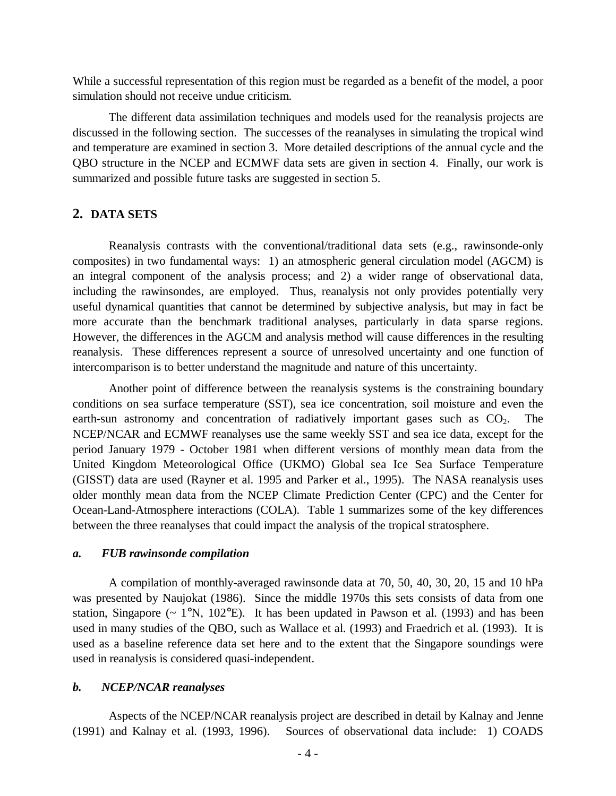While a successful representation of this region must be regarded as a benefit of the model, a poor simulation should not receive undue criticism.

The different data assimilation techniques and models used for the reanalysis projects are discussed in the following section. The successes of the reanalyses in simulating the tropical wind and temperature are examined in section 3. More detailed descriptions of the annual cycle and the QBO structure in the NCEP and ECMWF data sets are given in section 4. Finally, our work is summarized and possible future tasks are suggested in section 5.

## **2. DATA SETS**

Reanalysis contrasts with the conventional/traditional data sets (e.g., rawinsonde-only composites) in two fundamental ways: 1) an atmospheric general circulation model (AGCM) is an integral component of the analysis process; and 2) a wider range of observational data, including the rawinsondes, are employed. Thus, reanalysis not only provides potentially very useful dynamical quantities that cannot be determined by subjective analysis, but may in fact be more accurate than the benchmark traditional analyses, particularly in data sparse regions. However, the differences in the AGCM and analysis method will cause differences in the resulting reanalysis. These differences represent a source of unresolved uncertainty and one function of intercomparison is to better understand the magnitude and nature of this uncertainty.

Another point of difference between the reanalysis systems is the constraining boundary conditions on sea surface temperature (SST), sea ice concentration, soil moisture and even the earth-sun astronomy and concentration of radiatively important gases such as  $CO<sub>2</sub>$ . NCEP/NCAR and ECMWF reanalyses use the same weekly SST and sea ice data, except for the period January 1979 - October 1981 when different versions of monthly mean data from the United Kingdom Meteorological Office (UKMO) Global sea Ice Sea Surface Temperature (GISST) data are used (Rayner et al. 1995 and Parker et al., 1995). The NASA reanalysis uses older monthly mean data from the NCEP Climate Prediction Center (CPC) and the Center for Ocean-Land-Atmosphere interactions (COLA). Table 1 summarizes some of the key differences between the three reanalyses that could impact the analysis of the tropical stratosphere.

#### *a. FUB rawinsonde compilation*

A compilation of monthly-averaged rawinsonde data at 70, 50, 40, 30, 20, 15 and 10 hPa was presented by Naujokat (1986). Since the middle 1970s this sets consists of data from one station, Singapore ( $\sim 1^{\circ}$ N, 102°E). It has been updated in Pawson et al. (1993) and has been used in many studies of the QBO, such as Wallace et al. (1993) and Fraedrich et al. (1993). It is used as a baseline reference data set here and to the extent that the Singapore soundings were used in reanalysis is considered quasi-independent.

#### *b. NCEP/NCAR reanalyses*

Aspects of the NCEP/NCAR reanalysis project are described in detail by Kalnay and Jenne (1991) and Kalnay et al. (1993, 1996). Sources of observational data include: 1) COADS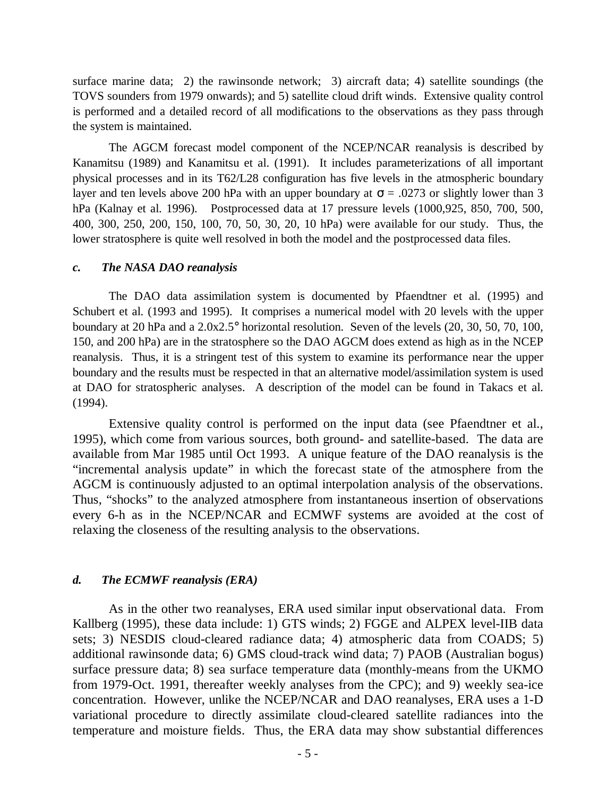surface marine data; 2) the rawinsonde network; 3) aircraft data; 4) satellite soundings (the TOVS sounders from 1979 onwards); and 5) satellite cloud drift winds. Extensive quality control is performed and a detailed record of all modifications to the observations as they pass through the system is maintained.

The AGCM forecast model component of the NCEP/NCAR reanalysis is described by Kanamitsu (1989) and Kanamitsu et al. (1991). It includes parameterizations of all important physical processes and in its T62/L28 configuration has five levels in the atmospheric boundary layer and ten levels above 200 hPa with an upper boundary at  $\sigma$  = .0273 or slightly lower than 3 hPa (Kalnay et al. 1996). Postprocessed data at 17 pressure levels (1000,925, 850, 700, 500, 400, 300, 250, 200, 150, 100, 70, 50, 30, 20, 10 hPa) were available for our study. Thus, the lower stratosphere is quite well resolved in both the model and the postprocessed data files.

#### *c. The NASA DAO reanalysis*

The DAO data assimilation system is documented by Pfaendtner et al. (1995) and Schubert et al. (1993 and 1995). It comprises a numerical model with 20 levels with the upper boundary at 20 hPa and a 2.0x2.5° horizontal resolution. Seven of the levels (20, 30, 50, 70, 100, 150, and 200 hPa) are in the stratosphere so the DAO AGCM does extend as high as in the NCEP reanalysis. Thus, it is a stringent test of this system to examine its performance near the upper boundary and the results must be respected in that an alternative model/assimilation system is used at DAO for stratospheric analyses. A description of the model can be found in Takacs et al. (1994).

Extensive quality control is performed on the input data (see Pfaendtner et al., 1995), which come from various sources, both ground- and satellite-based. The data are available from Mar 1985 until Oct 1993. A unique feature of the DAO reanalysis is the "incremental analysis update" in which the forecast state of the atmosphere from the AGCM is continuously adjusted to an optimal interpolation analysis of the observations. Thus, "shocks" to the analyzed atmosphere from instantaneous insertion of observations every 6-h as in the NCEP/NCAR and ECMWF systems are avoided at the cost of relaxing the closeness of the resulting analysis to the observations.

## *d. The ECMWF reanalysis (ERA)*

As in the other two reanalyses, ERA used similar input observational data. From Kallberg (1995), these data include: 1) GTS winds; 2) FGGE and ALPEX level-IIB data sets; 3) NESDIS cloud-cleared radiance data; 4) atmospheric data from COADS; 5) additional rawinsonde data; 6) GMS cloud-track wind data; 7) PAOB (Australian bogus) surface pressure data; 8) sea surface temperature data (monthly-means from the UKMO from 1979-Oct. 1991, thereafter weekly analyses from the CPC); and 9) weekly sea-ice concentration. However, unlike the NCEP/NCAR and DAO reanalyses, ERA uses a 1-D variational procedure to directly assimilate cloud-cleared satellite radiances into the temperature and moisture fields. Thus, the ERA data may show substantial differences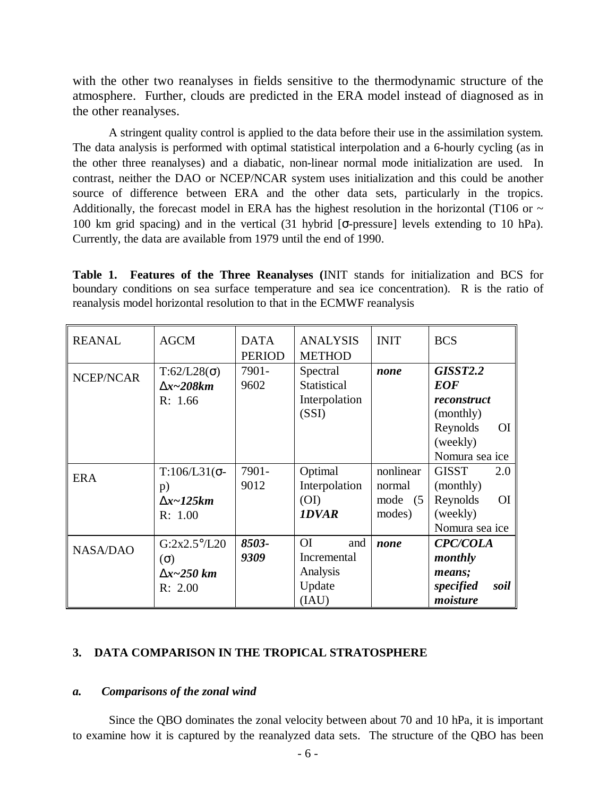with the other two reanalyses in fields sensitive to the thermodynamic structure of the atmosphere. Further, clouds are predicted in the ERA model instead of diagnosed as in the other reanalyses.

A stringent quality control is applied to the data before their use in the assimilation system. The data analysis is performed with optimal statistical interpolation and a 6-hourly cycling (as in the other three reanalyses) and a diabatic, non-linear normal mode initialization are used. In contrast, neither the DAO or NCEP/NCAR system uses initialization and this could be another source of difference between ERA and the other data sets, particularly in the tropics. Additionally, the forecast model in ERA has the highest resolution in the horizontal (T106 or  $\sim$ 100 km grid spacing) and in the vertical (31 hybrid [σ-pressure] levels extending to 10 hPa). Currently, the data are available from 1979 until the end of 1990.

**Table 1. Features of the Three Reanalyses (**INIT stands for initialization and BCS for boundary conditions on sea surface temperature and sea ice concentration). R is the ratio of reanalysis model horizontal resolution to that in the ECMWF reanalysis

| <b>REANAL</b>    | <b>AGCM</b>              | <b>DATA</b><br><b>PERIOD</b> | <b>ANALYSIS</b><br><b>METHOD</b> | <b>INIT</b> | <b>BCS</b>            |
|------------------|--------------------------|------------------------------|----------------------------------|-------------|-----------------------|
| <b>NCEP/NCAR</b> | $T:62/L28(\sigma)$       | 7901-                        | Spectral                         | none        | <b>GISST2.2</b>       |
|                  | $Dx - 208km$             | 9602                         | Statistical                      |             | <b>EOF</b>            |
|                  | R: 1.66                  |                              | Interpolation                    |             | reconstruct           |
|                  |                          |                              | (SSI)                            |             | (monthly)             |
|                  |                          |                              |                                  |             | Reynolds<br><b>OI</b> |
|                  |                          |                              |                                  |             | (weekly)              |
|                  |                          |                              |                                  |             | Nomura sea ice        |
| <b>ERA</b>       | $T:106/L31$ ( $\sigma$ - | 7901-                        | Optimal                          | nonlinear   | <b>GISST</b><br>2.0   |
|                  | p)                       | 9012                         | Interpolation                    | normal      | (monthly)             |
|                  | $Dx$ ~125 $km$           |                              | (OI)                             | mode (5     | Reynolds<br><b>OI</b> |
|                  | R: 1.00                  |                              | <b>IDVAR</b>                     | modes)      | (weekly)              |
|                  |                          |                              |                                  |             | Nomura sea ice        |
| <b>NASA/DAO</b>  | $G:2x2.5^{\circ}/L20$    | 8503-                        | O <sub>I</sub><br>and            | none        | <b>CPC/COLA</b>       |
|                  | $(\Omega)$               | 9309                         | Incremental                      |             | monthly               |
|                  | $\mathbf{D}x$ ~250 km    |                              | Analysis                         |             | means;                |
|                  | R: 2.00                  |                              | Update                           |             | specified<br>soil     |
|                  |                          |                              | (IAU)                            |             | moisture              |

## **3. DATA COMPARISON IN THE TROPICAL STRATOSPHERE**

#### *a. Comparisons of the zonal wind*

Since the QBO dominates the zonal velocity between about 70 and 10 hPa, it is important to examine how it is captured by the reanalyzed data sets. The structure of the QBO has been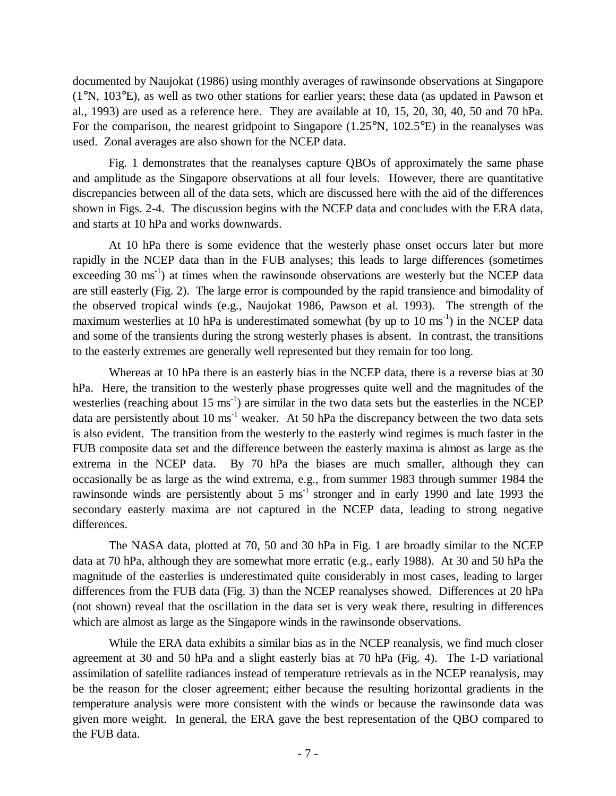documented by Naujokat (1986) using monthly averages of rawinsonde observations at Singapore (1°N, 103°E), as well as two other stations for earlier years; these data (as updated in Pawson et al., 1993) are used as a reference here. They are available at 10, 15, 20, 30, 40, 50 and 70 hPa. For the comparison, the nearest gridpoint to Singapore (1.25°N, 102.5°E) in the reanalyses was used. Zonal averages are also shown for the NCEP data.

Fig. 1 demonstrates that the reanalyses capture QBOs of approximately the same phase and amplitude as the Singapore observations at all four levels. However, there are quantitative discrepancies between all of the data sets, which are discussed here with the aid of the differences shown in Figs. 2-4. The discussion begins with the NCEP data and concludes with the ERA data, and starts at 10 hPa and works downwards.

At 10 hPa there is some evidence that the westerly phase onset occurs later but more rapidly in the NCEP data than in the FUB analyses; this leads to large differences (sometimes exceeding  $30 \text{ ms}^{-1}$ ) at times when the rawinsonde observations are westerly but the NCEP data are still easterly (Fig. 2). The large error is compounded by the rapid transience and bimodality of the observed tropical winds (e.g., Naujokat 1986, Pawson et al. 1993). The strength of the maximum westerlies at 10 hPa is underestimated somewhat (by up to 10 ms<sup>-1</sup>) in the NCEP data and some of the transients during the strong westerly phases is absent. In contrast, the transitions to the easterly extremes are generally well represented but they remain for too long.

Whereas at 10 hPa there is an easterly bias in the NCEP data, there is a reverse bias at 30 hPa. Here, the transition to the westerly phase progresses quite well and the magnitudes of the westerlies (reaching about  $15 \text{ ms}^{-1}$ ) are similar in the two data sets but the easterlies in the NCEP data are persistently about 10  $\text{ms}^{-1}$  weaker. At 50 hPa the discrepancy between the two data sets is also evident. The transition from the westerly to the easterly wind regimes is much faster in the FUB composite data set and the difference between the easterly maxima is almost as large as the extrema in the NCEP data. By 70 hPa the biases are much smaller, although they can occasionally be as large as the wind extrema, e.g., from summer 1983 through summer 1984 the rawinsonde winds are persistently about  $5 \text{ ms}^{-1}$  stronger and in early 1990 and late 1993 the secondary easterly maxima are not captured in the NCEP data, leading to strong negative differences.

The NASA data, plotted at 70, 50 and 30 hPa in Fig. 1 are broadly similar to the NCEP data at 70 hPa, although they are somewhat more erratic (e.g., early 1988). At 30 and 50 hPa the magnitude of the easterlies is underestimated quite considerably in most cases, leading to larger differences from the FUB data (Fig. 3) than the NCEP reanalyses showed. Differences at 20 hPa (not shown) reveal that the oscillation in the data set is very weak there, resulting in differences which are almost as large as the Singapore winds in the rawinsonde observations.

While the ERA data exhibits a similar bias as in the NCEP reanalysis, we find much closer agreement at 30 and 50 hPa and a slight easterly bias at 70 hPa (Fig. 4). The 1-D variational assimilation of satellite radiances instead of temperature retrievals as in the NCEP reanalysis, may be the reason for the closer agreement; either because the resulting horizontal gradients in the temperature analysis were more consistent with the winds or because the rawinsonde data was given more weight. In general, the ERA gave the best representation of the QBO compared to the FUB data.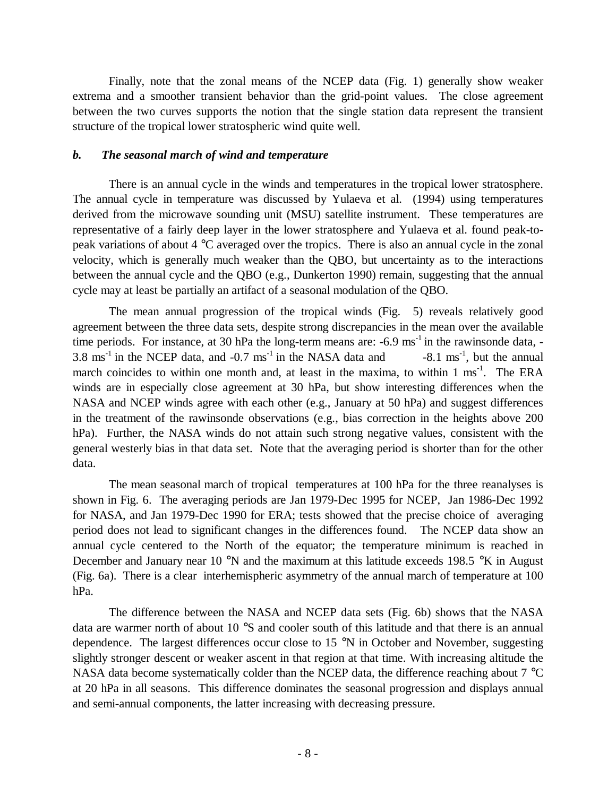Finally, note that the zonal means of the NCEP data (Fig. 1) generally show weaker extrema and a smoother transient behavior than the grid-point values. The close agreement between the two curves supports the notion that the single station data represent the transient structure of the tropical lower stratospheric wind quite well.

## *b. The seasonal march of wind and temperature*

There is an annual cycle in the winds and temperatures in the tropical lower stratosphere. The annual cycle in temperature was discussed by Yulaeva et al. (1994) using temperatures derived from the microwave sounding unit (MSU) satellite instrument. These temperatures are representative of a fairly deep layer in the lower stratosphere and Yulaeva et al. found peak-topeak variations of about 4 °C averaged over the tropics. There is also an annual cycle in the zonal velocity, which is generally much weaker than the QBO, but uncertainty as to the interactions between the annual cycle and the QBO (e.g., Dunkerton 1990) remain, suggesting that the annual cycle may at least be partially an artifact of a seasonal modulation of the QBO.

The mean annual progression of the tropical winds (Fig. 5) reveals relatively good agreement between the three data sets, despite strong discrepancies in the mean over the available time periods. For instance, at 30 hPa the long-term means are:  $-6.9 \text{ ms}^{-1}$  in the rawinsonde data,  $-$ 3.8 ms<sup>-1</sup> in the NCEP data, and -0.7 ms<sup>-1</sup> in the NASA data and  $-8.1 \text{ ms}^{-1}$ , but the annual march coincides to within one month and, at least in the maxima, to within  $1 \text{ ms}^{-1}$ . The ERA winds are in especially close agreement at 30 hPa, but show interesting differences when the NASA and NCEP winds agree with each other (e.g., January at 50 hPa) and suggest differences in the treatment of the rawinsonde observations (e.g., bias correction in the heights above 200 hPa). Further, the NASA winds do not attain such strong negative values, consistent with the general westerly bias in that data set. Note that the averaging period is shorter than for the other data.

The mean seasonal march of tropical temperatures at 100 hPa for the three reanalyses is shown in Fig. 6. The averaging periods are Jan 1979-Dec 1995 for NCEP, Jan 1986-Dec 1992 for NASA, and Jan 1979-Dec 1990 for ERA; tests showed that the precise choice of averaging period does not lead to significant changes in the differences found. The NCEP data show an annual cycle centered to the North of the equator; the temperature minimum is reached in December and January near 10 °N and the maximum at this latitude exceeds 198.5 °K in August (Fig. 6a). There is a clear interhemispheric asymmetry of the annual march of temperature at 100 hPa.

The difference between the NASA and NCEP data sets (Fig. 6b) shows that the NASA data are warmer north of about 10 °S and cooler south of this latitude and that there is an annual dependence. The largest differences occur close to 15 °N in October and November, suggesting slightly stronger descent or weaker ascent in that region at that time. With increasing altitude the NASA data become systematically colder than the NCEP data, the difference reaching about 7 °C at 20 hPa in all seasons. This difference dominates the seasonal progression and displays annual and semi-annual components, the latter increasing with decreasing pressure.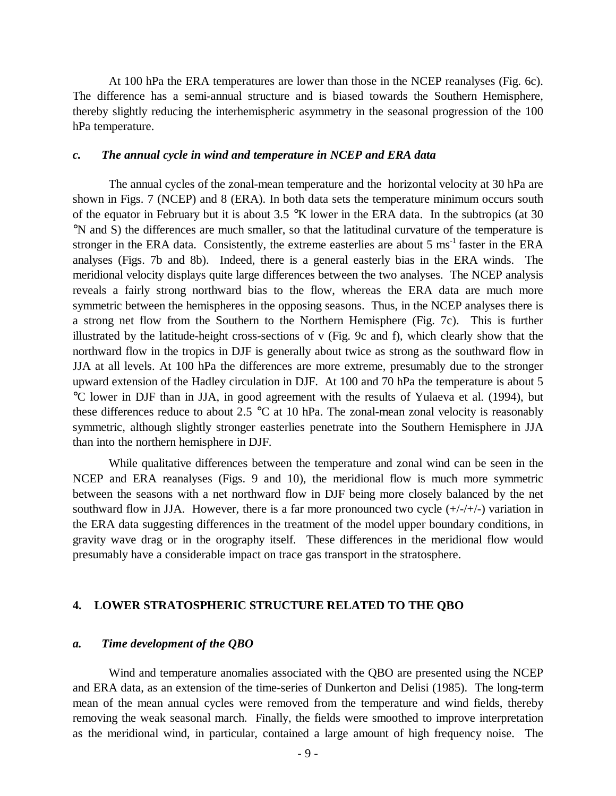At 100 hPa the ERA temperatures are lower than those in the NCEP reanalyses (Fig. 6c). The difference has a semi-annual structure and is biased towards the Southern Hemisphere, thereby slightly reducing the interhemispheric asymmetry in the seasonal progression of the 100 hPa temperature.

#### *c. The annual cycle in wind and temperature in NCEP and ERA data*

The annual cycles of the zonal-mean temperature and the horizontal velocity at 30 hPa are shown in Figs. 7 (NCEP) and 8 (ERA). In both data sets the temperature minimum occurs south of the equator in February but it is about 3.5 °K lower in the ERA data. In the subtropics (at 30 °N and S) the differences are much smaller, so that the latitudinal curvature of the temperature is stronger in the ERA data. Consistently, the extreme easterlies are about  $5 \text{ ms}^{-1}$  faster in the ERA analyses (Figs. 7b and 8b). Indeed, there is a general easterly bias in the ERA winds. The meridional velocity displays quite large differences between the two analyses. The NCEP analysis reveals a fairly strong northward bias to the flow, whereas the ERA data are much more symmetric between the hemispheres in the opposing seasons. Thus, in the NCEP analyses there is a strong net flow from the Southern to the Northern Hemisphere (Fig. 7c). This is further illustrated by the latitude-height cross-sections of v (Fig. 9c and f), which clearly show that the northward flow in the tropics in DJF is generally about twice as strong as the southward flow in JJA at all levels. At 100 hPa the differences are more extreme, presumably due to the stronger upward extension of the Hadley circulation in DJF. At 100 and 70 hPa the temperature is about 5 °C lower in DJF than in JJA, in good agreement with the results of Yulaeva et al. (1994), but these differences reduce to about 2.5  $\degree$ C at 10 hPa. The zonal-mean zonal velocity is reasonably symmetric, although slightly stronger easterlies penetrate into the Southern Hemisphere in JJA than into the northern hemisphere in DJF.

While qualitative differences between the temperature and zonal wind can be seen in the NCEP and ERA reanalyses (Figs. 9 and 10), the meridional flow is much more symmetric between the seasons with a net northward flow in DJF being more closely balanced by the net southward flow in JJA. However, there is a far more pronounced two cycle  $(+/-/+/-)$  variation in the ERA data suggesting differences in the treatment of the model upper boundary conditions, in gravity wave drag or in the orography itself. These differences in the meridional flow would presumably have a considerable impact on trace gas transport in the stratosphere.

## **4. LOWER STRATOSPHERIC STRUCTURE RELATED TO THE QBO**

## *a. Time development of the QBO*

Wind and temperature anomalies associated with the QBO are presented using the NCEP and ERA data, as an extension of the time-series of Dunkerton and Delisi (1985). The long-term mean of the mean annual cycles were removed from the temperature and wind fields, thereby removing the weak seasonal march. Finally, the fields were smoothed to improve interpretation as the meridional wind, in particular, contained a large amount of high frequency noise. The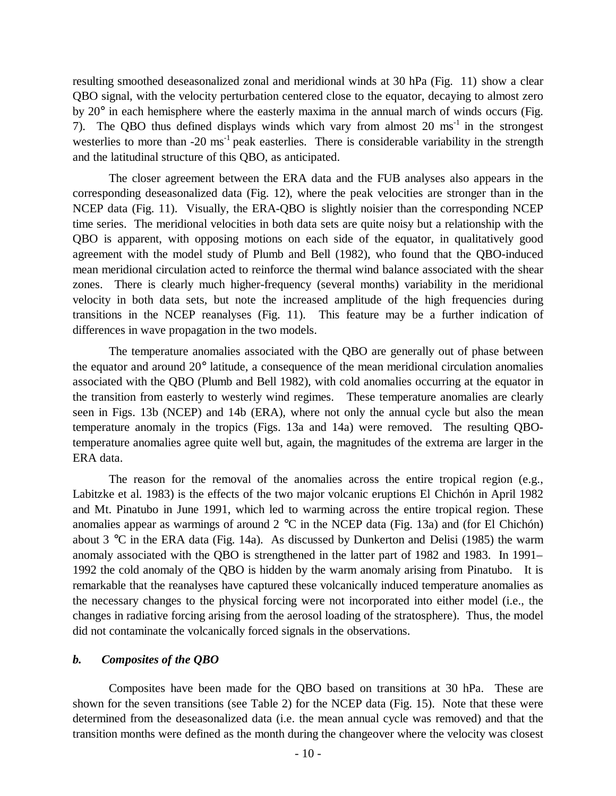resulting smoothed deseasonalized zonal and meridional winds at 30 hPa (Fig. 11) show a clear QBO signal, with the velocity perturbation centered close to the equator, decaying to almost zero by 20° in each hemisphere where the easterly maxima in the annual march of winds occurs (Fig. 7). The QBO thus defined displays winds which vary from almost  $20 \text{ ms}^{-1}$  in the strongest westerlies to more than  $-20 \text{ ms}^{-1}$  peak easterlies. There is considerable variability in the strength and the latitudinal structure of this QBO, as anticipated.

The closer agreement between the ERA data and the FUB analyses also appears in the corresponding deseasonalized data (Fig. 12), where the peak velocities are stronger than in the NCEP data (Fig. 11). Visually, the ERA-QBO is slightly noisier than the corresponding NCEP time series. The meridional velocities in both data sets are quite noisy but a relationship with the QBO is apparent, with opposing motions on each side of the equator, in qualitatively good agreement with the model study of Plumb and Bell (1982), who found that the QBO-induced mean meridional circulation acted to reinforce the thermal wind balance associated with the shear zones. There is clearly much higher-frequency (several months) variability in the meridional velocity in both data sets, but note the increased amplitude of the high frequencies during transitions in the NCEP reanalyses (Fig. 11). This feature may be a further indication of differences in wave propagation in the two models.

The temperature anomalies associated with the QBO are generally out of phase between the equator and around 20° latitude, a consequence of the mean meridional circulation anomalies associated with the QBO (Plumb and Bell 1982), with cold anomalies occurring at the equator in the transition from easterly to westerly wind regimes. These temperature anomalies are clearly seen in Figs. 13b (NCEP) and 14b (ERA), where not only the annual cycle but also the mean temperature anomaly in the tropics (Figs. 13a and 14a) were removed. The resulting QBOtemperature anomalies agree quite well but, again, the magnitudes of the extrema are larger in the ERA data.

The reason for the removal of the anomalies across the entire tropical region (e.g., Labitzke et al. 1983) is the effects of the two major volcanic eruptions El Chichón in April 1982 and Mt. Pinatubo in June 1991, which led to warming across the entire tropical region. These anomalies appear as warmings of around  $2 \text{ °C}$  in the NCEP data (Fig. 13a) and (for El Chichón) about 3 °C in the ERA data (Fig. 14a). As discussed by Dunkerton and Delisi (1985) the warm anomaly associated with the QBO is strengthened in the latter part of 1982 and 1983. In 1991– 1992 the cold anomaly of the QBO is hidden by the warm anomaly arising from Pinatubo. It is remarkable that the reanalyses have captured these volcanically induced temperature anomalies as the necessary changes to the physical forcing were not incorporated into either model (i.e., the changes in radiative forcing arising from the aerosol loading of the stratosphere). Thus, the model did not contaminate the volcanically forced signals in the observations.

## *b. Composites of the QBO*

Composites have been made for the QBO based on transitions at 30 hPa. These are shown for the seven transitions (see Table 2) for the NCEP data (Fig. 15). Note that these were determined from the deseasonalized data (i.e. the mean annual cycle was removed) and that the transition months were defined as the month during the changeover where the velocity was closest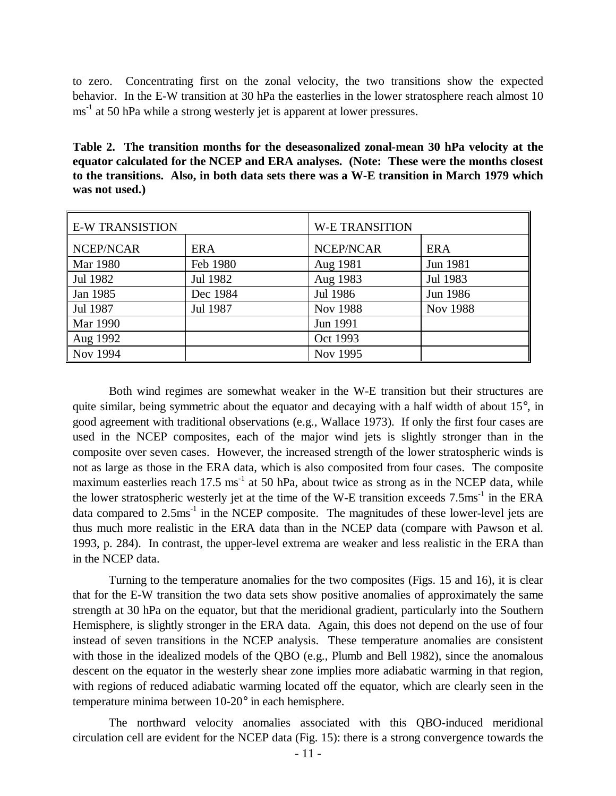to zero. Concentrating first on the zonal velocity, the two transitions show the expected behavior. In the E-W transition at 30 hPa the easterlies in the lower stratosphere reach almost 10 ms<sup>-1</sup> at 50 hPa while a strong westerly jet is apparent at lower pressures.

**Table 2. The transition months for the deseasonalized zonal-mean 30 hPa velocity at the equator calculated for the NCEP and ERA analyses. (Note: These were the months closest to the transitions. Also, in both data sets there was a W-E transition in March 1979 which was not used.)**

| <b>E-W TRANSISTION</b> |            | <b>W-E TRANSITION</b> |                 |  |
|------------------------|------------|-----------------------|-----------------|--|
| NCEP/NCAR              | <b>ERA</b> | NCEP/NCAR             | <b>ERA</b>      |  |
| Mar 1980               | Feb 1980   | Aug 1981              | Jun 1981        |  |
| Jul 1982               | Jul 1982   | Aug 1983              | Jul 1983        |  |
| Jan 1985               | Dec 1984   | Jul 1986              | Jun 1986        |  |
| Jul 1987               | Jul 1987   | <b>Nov 1988</b>       | <b>Nov 1988</b> |  |
| Mar 1990               |            | Jun 1991              |                 |  |
| Aug 1992               |            | Oct 1993              |                 |  |
| Nov 1994               |            | Nov 1995              |                 |  |

Both wind regimes are somewhat weaker in the W-E transition but their structures are quite similar, being symmetric about the equator and decaying with a half width of about  $15^{\circ}$ , in good agreement with traditional observations (e.g., Wallace 1973). If only the first four cases are used in the NCEP composites, each of the major wind jets is slightly stronger than in the composite over seven cases. However, the increased strength of the lower stratospheric winds is not as large as those in the ERA data, which is also composited from four cases. The composite maximum easterlies reach 17.5 ms<sup>-1</sup> at 50 hPa, about twice as strong as in the NCEP data, while the lower stratospheric westerly jet at the time of the W-E transition exceeds 7.5ms<sup>-1</sup> in the ERA data compared to  $2.5 \text{ms}^{-1}$  in the NCEP composite. The magnitudes of these lower-level jets are thus much more realistic in the ERA data than in the NCEP data (compare with Pawson et al. 1993, p. 284). In contrast, the upper-level extrema are weaker and less realistic in the ERA than in the NCEP data.

Turning to the temperature anomalies for the two composites (Figs. 15 and 16), it is clear that for the E-W transition the two data sets show positive anomalies of approximately the same strength at 30 hPa on the equator, but that the meridional gradient, particularly into the Southern Hemisphere, is slightly stronger in the ERA data. Again, this does not depend on the use of four instead of seven transitions in the NCEP analysis. These temperature anomalies are consistent with those in the idealized models of the QBO (e.g., Plumb and Bell 1982), since the anomalous descent on the equator in the westerly shear zone implies more adiabatic warming in that region, with regions of reduced adiabatic warming located off the equator, which are clearly seen in the temperature minima between 10-20° in each hemisphere.

The northward velocity anomalies associated with this QBO-induced meridional circulation cell are evident for the NCEP data (Fig. 15): there is a strong convergence towards the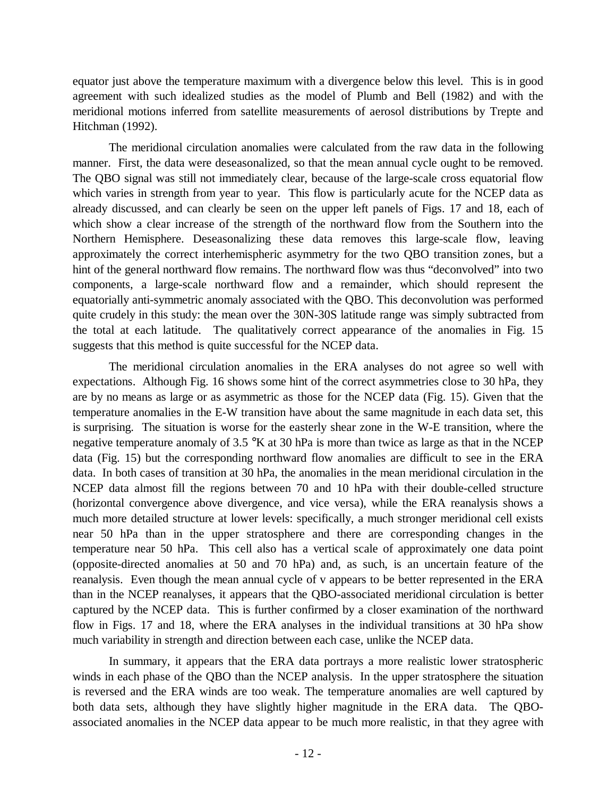equator just above the temperature maximum with a divergence below this level. This is in good agreement with such idealized studies as the model of Plumb and Bell (1982) and with the meridional motions inferred from satellite measurements of aerosol distributions by Trepte and Hitchman (1992).

The meridional circulation anomalies were calculated from the raw data in the following manner. First, the data were deseasonalized, so that the mean annual cycle ought to be removed. The QBO signal was still not immediately clear, because of the large-scale cross equatorial flow which varies in strength from year to year. This flow is particularly acute for the NCEP data as already discussed, and can clearly be seen on the upper left panels of Figs. 17 and 18, each of which show a clear increase of the strength of the northward flow from the Southern into the Northern Hemisphere. Deseasonalizing these data removes this large-scale flow, leaving approximately the correct interhemispheric asymmetry for the two QBO transition zones, but a hint of the general northward flow remains. The northward flow was thus "deconvolved" into two components, a large-scale northward flow and a remainder, which should represent the equatorially anti-symmetric anomaly associated with the QBO. This deconvolution was performed quite crudely in this study: the mean over the 30N-30S latitude range was simply subtracted from the total at each latitude. The qualitatively correct appearance of the anomalies in Fig. 15 suggests that this method is quite successful for the NCEP data.

The meridional circulation anomalies in the ERA analyses do not agree so well with expectations. Although Fig. 16 shows some hint of the correct asymmetries close to 30 hPa, they are by no means as large or as asymmetric as those for the NCEP data (Fig. 15). Given that the temperature anomalies in the E-W transition have about the same magnitude in each data set, this is surprising. The situation is worse for the easterly shear zone in the W-E transition, where the negative temperature anomaly of 3.5 °K at 30 hPa is more than twice as large as that in the NCEP data (Fig. 15) but the corresponding northward flow anomalies are difficult to see in the ERA data. In both cases of transition at 30 hPa, the anomalies in the mean meridional circulation in the NCEP data almost fill the regions between 70 and 10 hPa with their double-celled structure (horizontal convergence above divergence, and vice versa), while the ERA reanalysis shows a much more detailed structure at lower levels: specifically, a much stronger meridional cell exists near 50 hPa than in the upper stratosphere and there are corresponding changes in the temperature near 50 hPa. This cell also has a vertical scale of approximately one data point (opposite-directed anomalies at 50 and 70 hPa) and, as such, is an uncertain feature of the reanalysis. Even though the mean annual cycle of v appears to be better represented in the ERA than in the NCEP reanalyses, it appears that the QBO-associated meridional circulation is better captured by the NCEP data. This is further confirmed by a closer examination of the northward flow in Figs. 17 and 18, where the ERA analyses in the individual transitions at 30 hPa show much variability in strength and direction between each case, unlike the NCEP data.

In summary, it appears that the ERA data portrays a more realistic lower stratospheric winds in each phase of the QBO than the NCEP analysis. In the upper stratosphere the situation is reversed and the ERA winds are too weak. The temperature anomalies are well captured by both data sets, although they have slightly higher magnitude in the ERA data. The QBOassociated anomalies in the NCEP data appear to be much more realistic, in that they agree with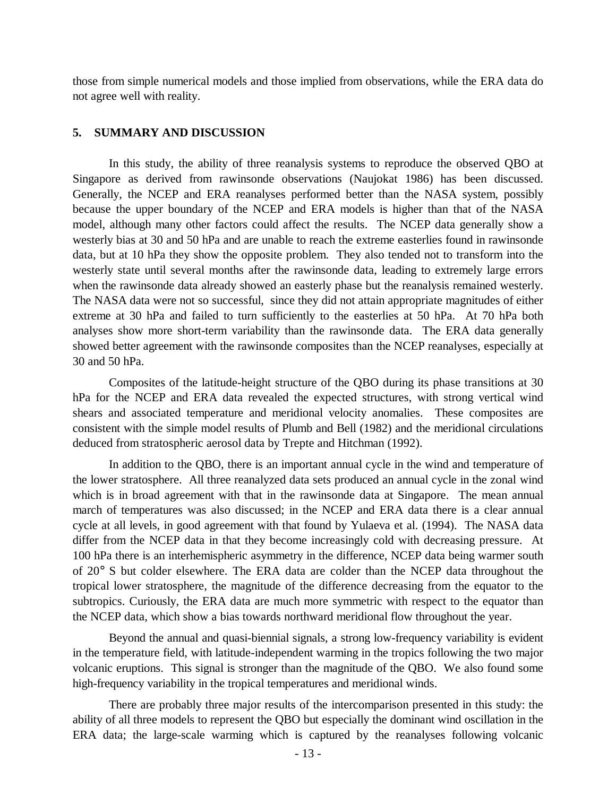those from simple numerical models and those implied from observations, while the ERA data do not agree well with reality.

## **5. SUMMARY AND DISCUSSION**

In this study, the ability of three reanalysis systems to reproduce the observed QBO at Singapore as derived from rawinsonde observations (Naujokat 1986) has been discussed. Generally, the NCEP and ERA reanalyses performed better than the NASA system, possibly because the upper boundary of the NCEP and ERA models is higher than that of the NASA model, although many other factors could affect the results. The NCEP data generally show a westerly bias at 30 and 50 hPa and are unable to reach the extreme easterlies found in rawinsonde data, but at 10 hPa they show the opposite problem. They also tended not to transform into the westerly state until several months after the rawinsonde data, leading to extremely large errors when the rawinsonde data already showed an easterly phase but the reanalysis remained westerly. The NASA data were not so successful, since they did not attain appropriate magnitudes of either extreme at 30 hPa and failed to turn sufficiently to the easterlies at 50 hPa. At 70 hPa both analyses show more short-term variability than the rawinsonde data. The ERA data generally showed better agreement with the rawinsonde composites than the NCEP reanalyses, especially at 30 and 50 hPa.

Composites of the latitude-height structure of the QBO during its phase transitions at 30 hPa for the NCEP and ERA data revealed the expected structures, with strong vertical wind shears and associated temperature and meridional velocity anomalies. These composites are consistent with the simple model results of Plumb and Bell (1982) and the meridional circulations deduced from stratospheric aerosol data by Trepte and Hitchman (1992).

In addition to the QBO, there is an important annual cycle in the wind and temperature of the lower stratosphere. All three reanalyzed data sets produced an annual cycle in the zonal wind which is in broad agreement with that in the rawinsonde data at Singapore. The mean annual march of temperatures was also discussed; in the NCEP and ERA data there is a clear annual cycle at all levels, in good agreement with that found by Yulaeva et al. (1994). The NASA data differ from the NCEP data in that they become increasingly cold with decreasing pressure. At 100 hPa there is an interhemispheric asymmetry in the difference, NCEP data being warmer south of 20° S but colder elsewhere. The ERA data are colder than the NCEP data throughout the tropical lower stratosphere, the magnitude of the difference decreasing from the equator to the subtropics. Curiously, the ERA data are much more symmetric with respect to the equator than the NCEP data, which show a bias towards northward meridional flow throughout the year.

Beyond the annual and quasi-biennial signals, a strong low-frequency variability is evident in the temperature field, with latitude-independent warming in the tropics following the two major volcanic eruptions. This signal is stronger than the magnitude of the QBO. We also found some high-frequency variability in the tropical temperatures and meridional winds.

There are probably three major results of the intercomparison presented in this study: the ability of all three models to represent the QBO but especially the dominant wind oscillation in the ERA data; the large-scale warming which is captured by the reanalyses following volcanic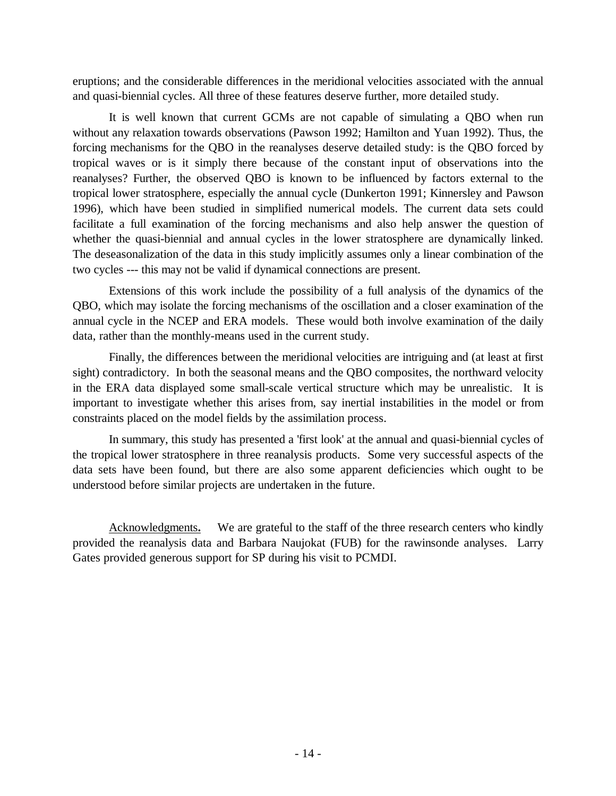eruptions; and the considerable differences in the meridional velocities associated with the annual and quasi-biennial cycles. All three of these features deserve further, more detailed study.

It is well known that current GCMs are not capable of simulating a QBO when run without any relaxation towards observations (Pawson 1992; Hamilton and Yuan 1992). Thus, the forcing mechanisms for the QBO in the reanalyses deserve detailed study: is the QBO forced by tropical waves or is it simply there because of the constant input of observations into the reanalyses? Further, the observed QBO is known to be influenced by factors external to the tropical lower stratosphere, especially the annual cycle (Dunkerton 1991; Kinnersley and Pawson 1996), which have been studied in simplified numerical models. The current data sets could facilitate a full examination of the forcing mechanisms and also help answer the question of whether the quasi-biennial and annual cycles in the lower stratosphere are dynamically linked. The deseasonalization of the data in this study implicitly assumes only a linear combination of the two cycles --- this may not be valid if dynamical connections are present.

Extensions of this work include the possibility of a full analysis of the dynamics of the QBO, which may isolate the forcing mechanisms of the oscillation and a closer examination of the annual cycle in the NCEP and ERA models. These would both involve examination of the daily data, rather than the monthly-means used in the current study.

Finally, the differences between the meridional velocities are intriguing and (at least at first sight) contradictory. In both the seasonal means and the QBO composites, the northward velocity in the ERA data displayed some small-scale vertical structure which may be unrealistic. It is important to investigate whether this arises from, say inertial instabilities in the model or from constraints placed on the model fields by the assimilation process.

In summary, this study has presented a 'first look' at the annual and quasi-biennial cycles of the tropical lower stratosphere in three reanalysis products. Some very successful aspects of the data sets have been found, but there are also some apparent deficiencies which ought to be understood before similar projects are undertaken in the future.

Acknowledgments**.** We are grateful to the staff of the three research centers who kindly provided the reanalysis data and Barbara Naujokat (FUB) for the rawinsonde analyses. Larry Gates provided generous support for SP during his visit to PCMDI.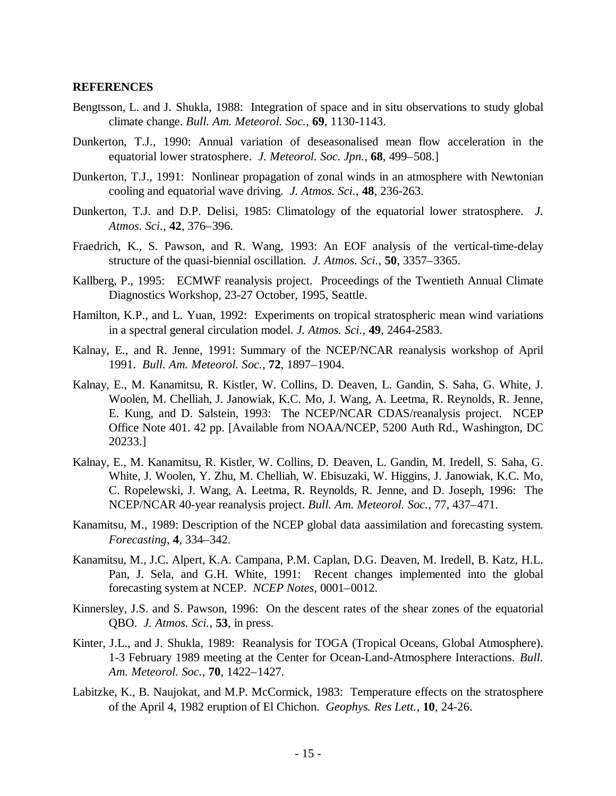#### **REFERENCES**

- Bengtsson, L. and J. Shukla, 1988: Integration of space and in situ observations to study global climate change. *Bull. Am. Meteorol. Soc.*, **69**, 1130-1143.
- Dunkerton, T.J., 1990: Annual variation of deseasonalised mean flow acceleration in the equatorial lower stratosphere. *J. Meteorol. Soc. Jpn.*, **68**, 499–508.]
- Dunkerton, T.J., 1991: Nonlinear propagation of zonal winds in an atmosphere with Newtonian cooling and equatorial wave driving. *J. Atmos. Sci.*, **48**, 236-263.
- Dunkerton, T.J. and D.P. Delisi, 1985: Climatology of the equatorial lower stratosphere. *J. Atmos. Sci.*, **42**, 376–396.
- Fraedrich, K., S. Pawson, and R. Wang, 1993: An EOF analysis of the vertical-time-delay structure of the quasi-biennial oscillation. *J. Atmos. Sci.*, **50**, 3357–3365.
- Kallberg, P., 1995: ECMWF reanalysis project. Proceedings of the Twentieth Annual Climate Diagnostics Workshop, 23-27 October, 1995, Seattle.
- Hamilton, K.P., and L. Yuan, 1992: Experiments on tropical stratospheric mean wind variations in a spectral general circulation model. *J. Atmos. Sci.*, **49**, 2464-2583.
- Kalnay, E., and R. Jenne, 1991: Summary of the NCEP/NCAR reanalysis workshop of April 1991. *Bull. Am. Meteorol. Soc.*, **72**, 1897–1904.
- Kalnay, E., M. Kanamitsu, R. Kistler, W. Collins, D. Deaven, L. Gandin, S. Saha, G. White, J. Woolen, M. Chelliah, J. Janowiak, K.C. Mo, J. Wang, A. Leetma, R. Reynolds, R. Jenne, E. Kung, and D. Salstein, 1993: The NCEP/NCAR CDAS/reanalysis project. NCEP Office Note 401. 42 pp. [Available from NOAA/NCEP, 5200 Auth Rd., Washington, DC 20233.]
- Kalnay, E., M. Kanamitsu, R. Kistler, W. Collins, D. Deaven, L. Gandin, M. Iredell, S. Saha, G. White, J. Woolen, Y. Zhu, M. Chelliah, W. Ebisuzaki, W. Higgins, J. Janowiak, K.C. Mo, C. Ropelewski, J. Wang, A. Leetma, R. Reynolds, R. Jenne, and D. Joseph, 1996: The NCEP/NCAR 40-year reanalysis project. *Bull. Am. Meteorol. Soc.*, 77, 437–471.
- Kanamitsu, M., 1989: Description of the NCEP global data aassimilation and forecasting system. *Forecasting*, **4**, 334–342.
- Kanamitsu, M., J.C. Alpert, K.A. Campana, P.M. Caplan, D.G. Deaven, M. Iredell, B. Katz, H.L. Pan, J. Sela, and G.H. White, 1991: Recent changes implemented into the global forecasting system at NCEP. *NCEP Notes*, 0001–0012.
- Kinnersley, J.S. and S. Pawson, 1996: On the descent rates of the shear zones of the equatorial QBO. *J. Atmos. Sci.*, **53**, in press.
- Kinter, J.L., and J. Shukla, 1989: Reanalysis for TOGA (Tropical Oceans, Global Atmosphere). 1-3 February 1989 meeting at the Center for Ocean-Land-Atmosphere Interactions. *Bull. Am. Meteorol. Soc.*, **70**, 1422–1427.
- Labitzke, K., B. Naujokat, and M.P. McCormick, 1983: Temperature effects on the stratosphere of the April 4, 1982 eruption of El Chichon. *Geophys. Res Lett.*, **10**, 24-26.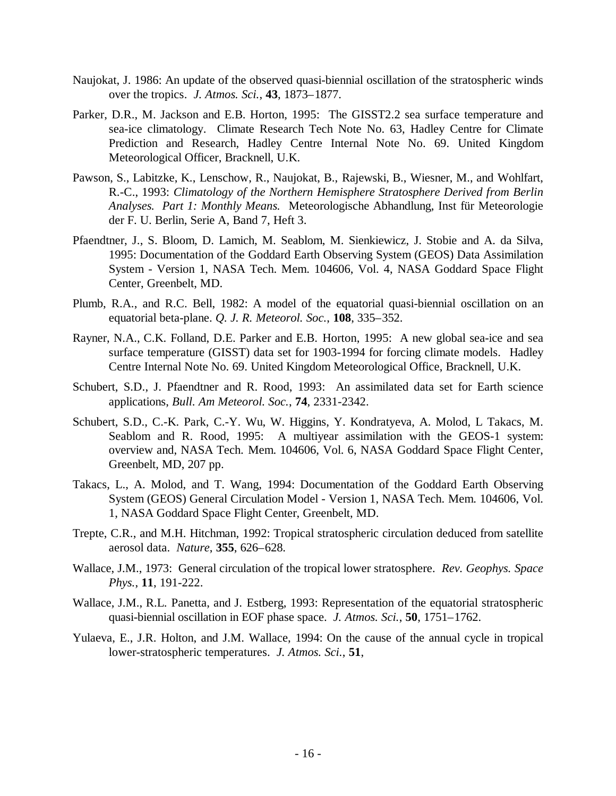- Naujokat, J. 1986: An update of the observed quasi-biennial oscillation of the stratospheric winds over the tropics. *J. Atmos. Sci.*, **43**, 1873–1877.
- Parker, D.R., M. Jackson and E.B. Horton, 1995: The GISST2.2 sea surface temperature and sea-ice climatology. Climate Research Tech Note No. 63, Hadley Centre for Climate Prediction and Research, Hadley Centre Internal Note No. 69. United Kingdom Meteorological Officer, Bracknell, U.K.
- Pawson, S., Labitzke, K., Lenschow, R., Naujokat, B., Rajewski, B., Wiesner, M., and Wohlfart, R.-C., 1993: *Climatology of the Northern Hemisphere Stratosphere Derived from Berlin Analyses. Part 1: Monthly Means.* Meteorologische Abhandlung, Inst für Meteorologie der F. U. Berlin, Serie A, Band 7, Heft 3.
- Pfaendtner, J., S. Bloom, D. Lamich, M. Seablom, M. Sienkiewicz, J. Stobie and A. da Silva, 1995: Documentation of the Goddard Earth Observing System (GEOS) Data Assimilation System - Version 1, NASA Tech. Mem. 104606, Vol. 4, NASA Goddard Space Flight Center, Greenbelt, MD.
- Plumb, R.A., and R.C. Bell, 1982: A model of the equatorial quasi-biennial oscillation on an equatorial beta-plane. *Q. J. R. Meteorol. Soc.*, **108**, 335–352.
- Rayner, N.A., C.K. Folland, D.E. Parker and E.B. Horton, 1995: A new global sea-ice and sea surface temperature (GISST) data set for 1903-1994 for forcing climate models. Hadley Centre Internal Note No. 69. United Kingdom Meteorological Office, Bracknell, U.K.
- Schubert, S.D., J. Pfaendtner and R. Rood, 1993: An assimilated data set for Earth science applications, *Bull. Am Meteorol. Soc.*, **74**, 2331-2342.
- Schubert, S.D., C.-K. Park, C.-Y. Wu, W. Higgins, Y. Kondratyeva, A. Molod, L Takacs, M. Seablom and R. Rood, 1995: A multiyear assimilation with the GEOS-1 system: overview and, NASA Tech. Mem. 104606, Vol. 6, NASA Goddard Space Flight Center, Greenbelt, MD, 207 pp.
- Takacs, L., A. Molod, and T. Wang, 1994: Documentation of the Goddard Earth Observing System (GEOS) General Circulation Model - Version 1, NASA Tech. Mem. 104606, Vol. 1, NASA Goddard Space Flight Center, Greenbelt, MD.
- Trepte, C.R., and M.H. Hitchman, 1992: Tropical stratospheric circulation deduced from satellite aerosol data. *Nature*, **355**, 626–628.
- Wallace, J.M., 1973: General circulation of the tropical lower stratosphere. *Rev. Geophys. Space Phys.*, **11**, 191-222.
- Wallace, J.M., R.L. Panetta, and J. Estberg, 1993: Representation of the equatorial stratospheric quasi-biennial oscillation in EOF phase space. *J. Atmos. Sci.*, **50**, 1751–1762.
- Yulaeva, E., J.R. Holton, and J.M. Wallace, 1994: On the cause of the annual cycle in tropical lower-stratospheric temperatures. *J. Atmos. Sci.*, **51**,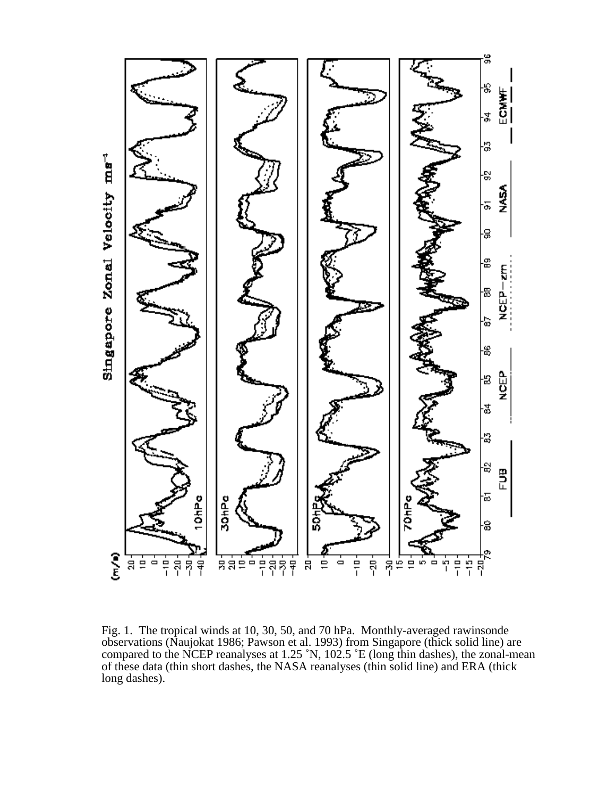

Fig. 1. The tropical winds at 10, 30, 50, and 70 hPa. Monthly-averaged rawinsonde observations (Naujokat 1986; Pawson et al. 1993) from Singapore (thick solid line) are compared to the NCEP reanalyses at 1.25 ˚N, 102.5 ˚E (long thin dashes), the zonal-mean of these data (thin short dashes, the NASA reanalyses (thin solid line) and ERA (thick long dashes).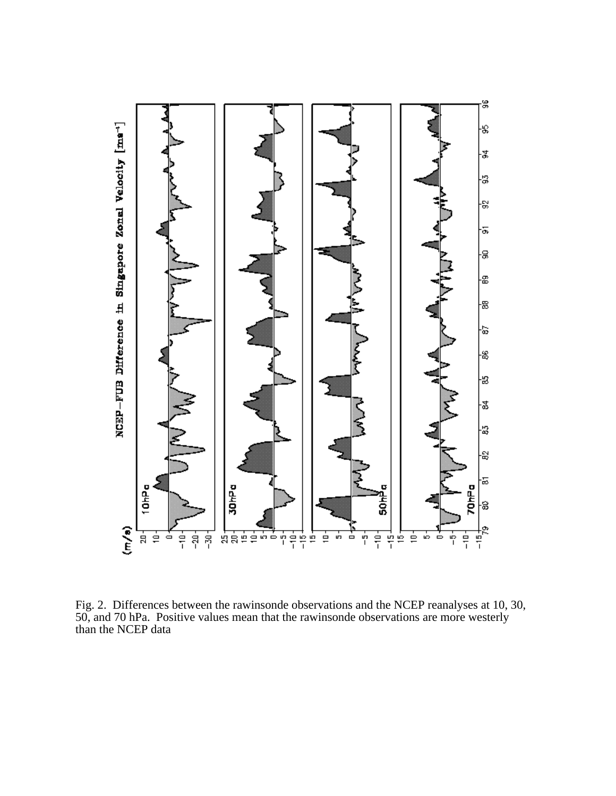

Fig. 2. Differences between the rawinsonde observations and the NCEP reanalyses at 10, 30, 50, and 70 hPa. Positive values mean that the rawinsonde observations are more westerly than the NCEP data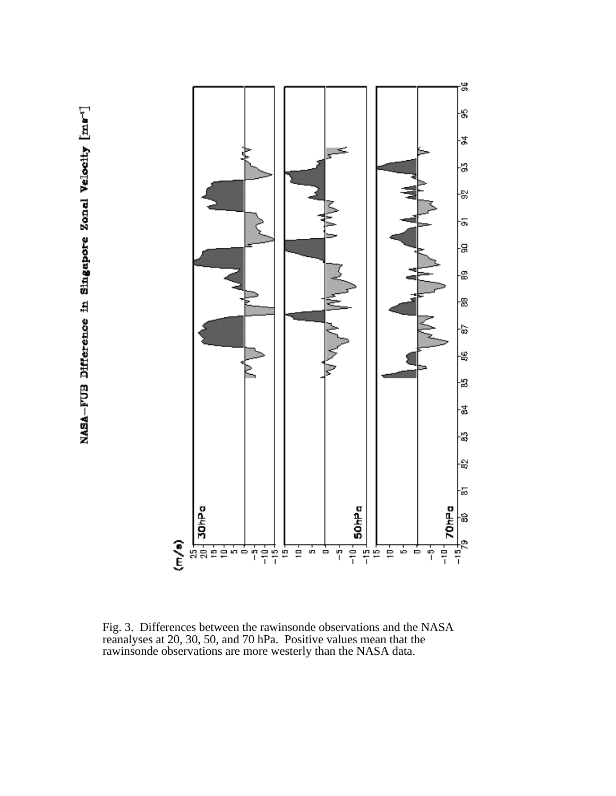

Fig. 3. Differences between the rawinsonde observations and the NASA reanalyses at 20, 30, 50, and 70 hPa. Positive values mean that the rawinsonde observations are more westerly than the NASA data.

NASA-FUB Difference in Singapore Zonal Velocity [ma<sup>-1</sup>]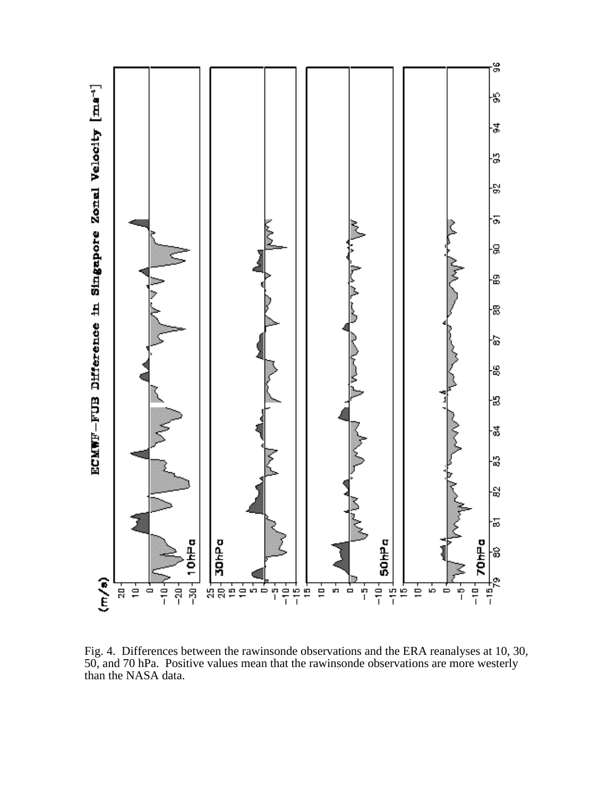

Fig. 4. Differences between the rawinsonde observations and the ERA reanalyses at 10, 30, 50, and 70 hPa. Positive values mean that the rawinsonde observations are more westerly than the NASA data.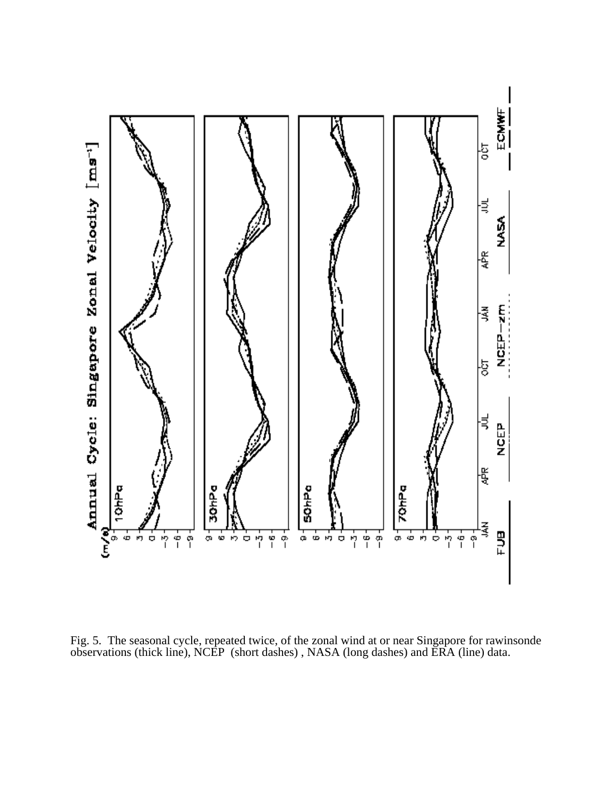

Fig. 5. The seasonal cycle, repeated twice, of the zonal wind at or near Singapore for rawinsonde observations (thick line), NCEP (short dashes) , NASA (long dashes) and ERA (line) data.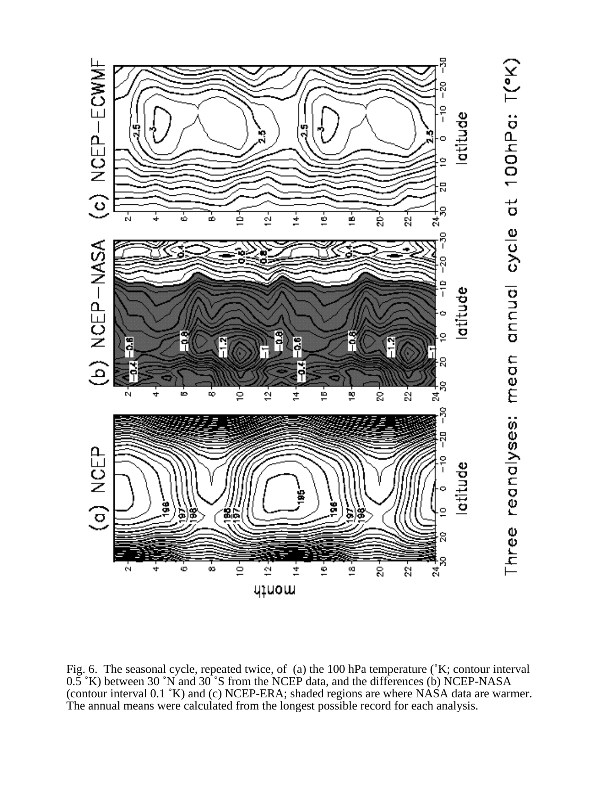

Fig. 6. The seasonal cycle, repeated twice, of (a) the 100 hPa temperature (˚K; contour interval 0.5 °K) between 30 °N and 30 °S from the NCEP data, and the differences (b) NCEP-NASA (contour interval 0.1 ˚K) and (c) NCEP-ERA; shaded regions are where NASA data are warmer. The annual means were calculated from the longest possible record for each analysis.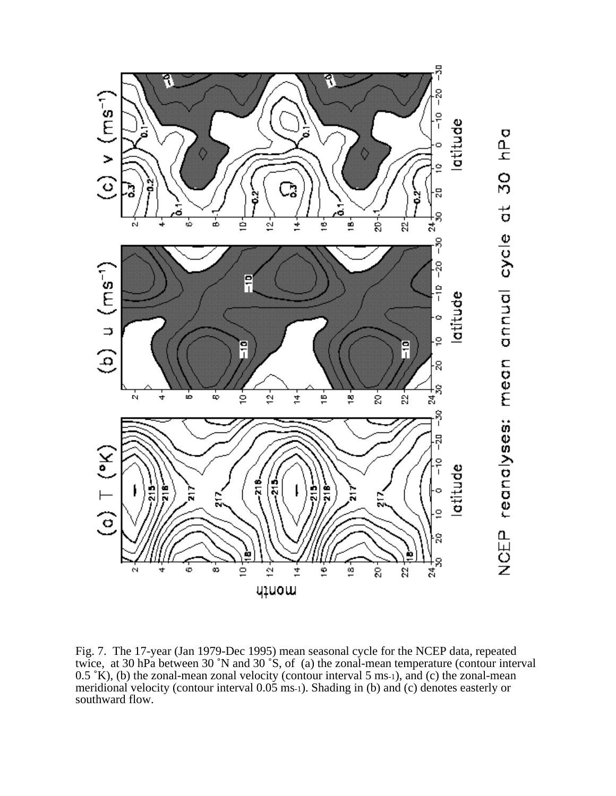

Fig. 7. The 17-year (Jan 1979-Dec 1995) mean seasonal cycle for the NCEP data, repeated twice, at 30 hPa between 30 ˚N and 30 ˚S, of (a) the zonal-mean temperature (contour interval  $0.5 \text{ }^{\circ}\text{K}$ ), (b) the zonal-mean zonal velocity (contour interval 5 ms-1), and (c) the zonal-mean meridional velocity (contour interval 0.05 ms-1). Shading in (b) and (c) denotes easterly or southward flow.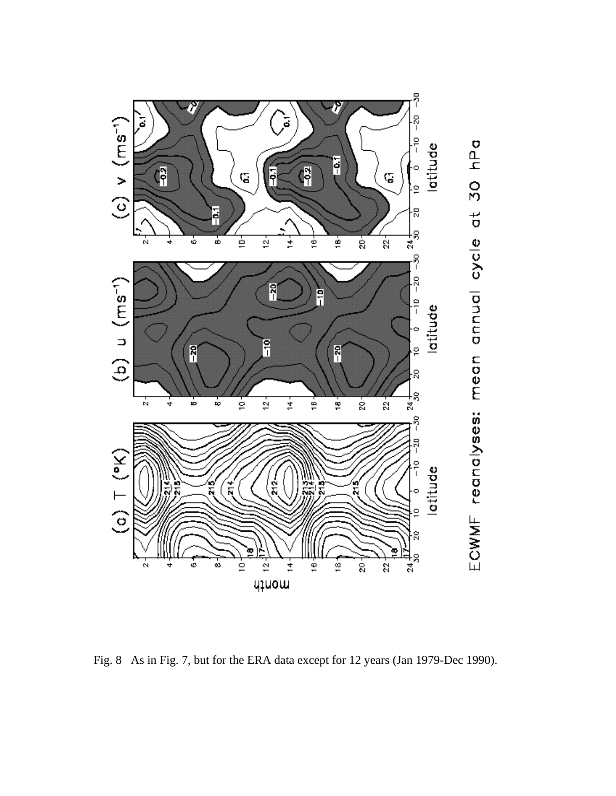

Fig. 8 As in Fig. 7, but for the ERA data except for 12 years (Jan 1979-Dec 1990).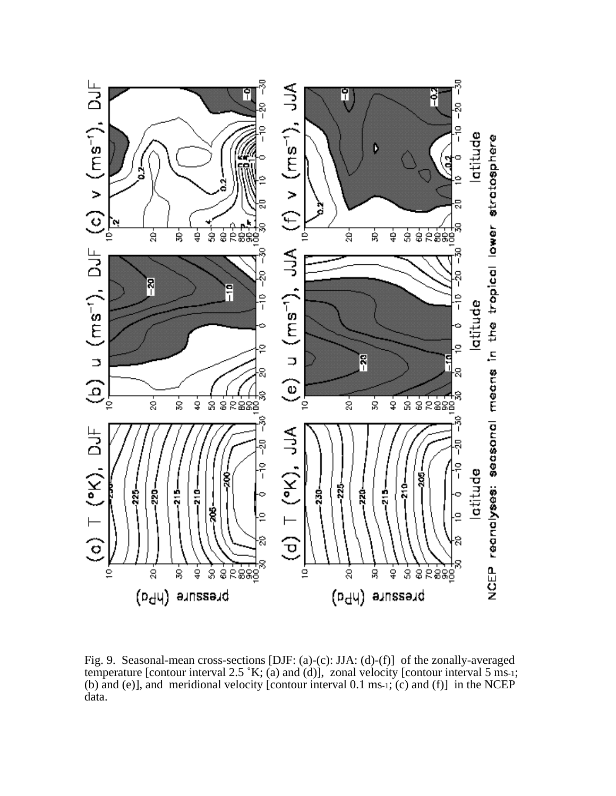

Fig. 9. Seasonal-mean cross-sections [DJF: (a)-(c): JJA: (d)-(f)] of the zonally-averaged temperature [contour interval 2.5  $K$ ; (a) and (d)], zonal velocity [contour interval 5 ms-1; (b) and (e)], and meridional velocity [contour interval 0.1 ms-1; (c) and (f)] in the NCEP data.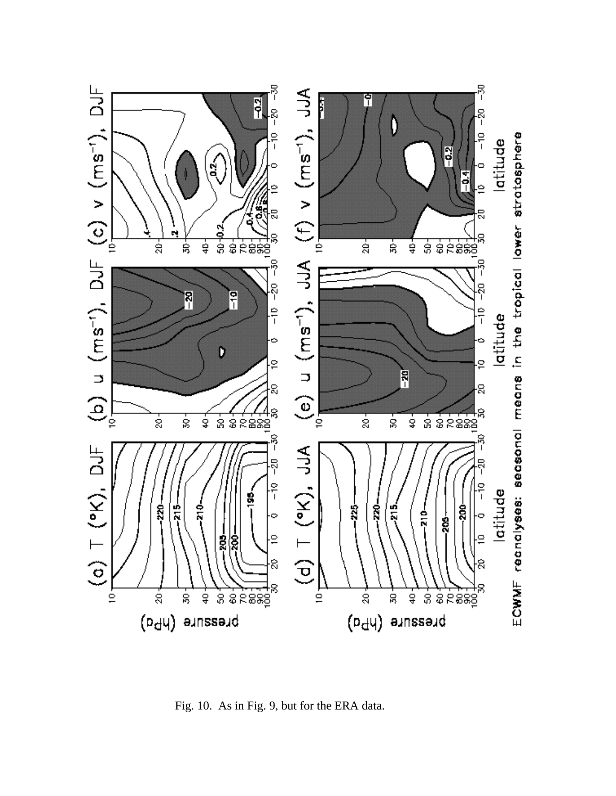

Fig. 10. As in Fig. 9, but for the ERA data.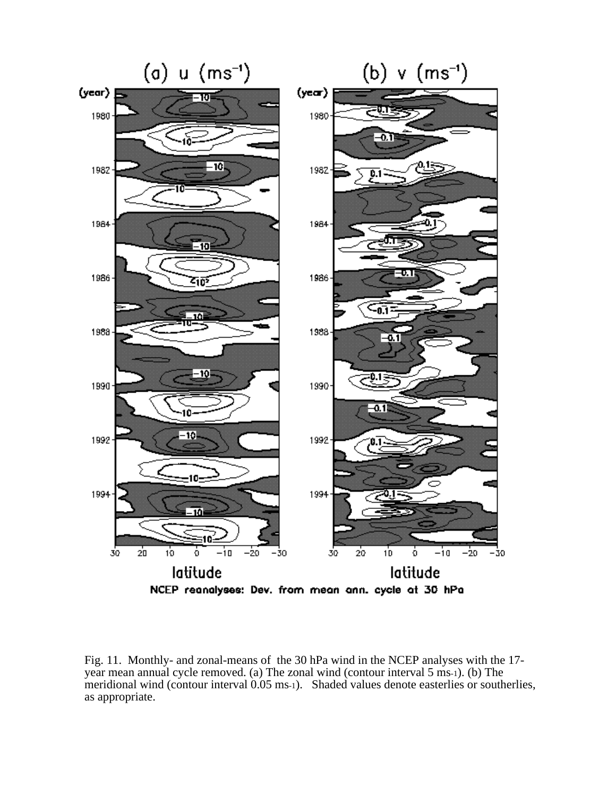

Fig. 11. Monthly- and zonal-means of the 30 hPa wind in the NCEP analyses with the 17 year mean annual cycle removed. (a) The zonal wind (contour interval 5 ms-1). (b) The meridional wind (contour interval 0.05 ms-1). Shaded values denote easterlies or southerlies, as appropriate.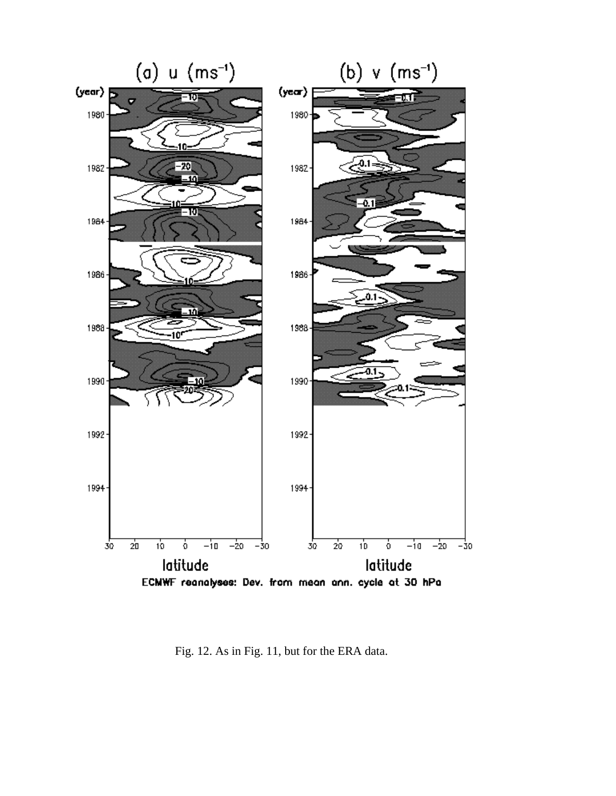

Fig. 12. As in Fig. 11, but for the ERA data.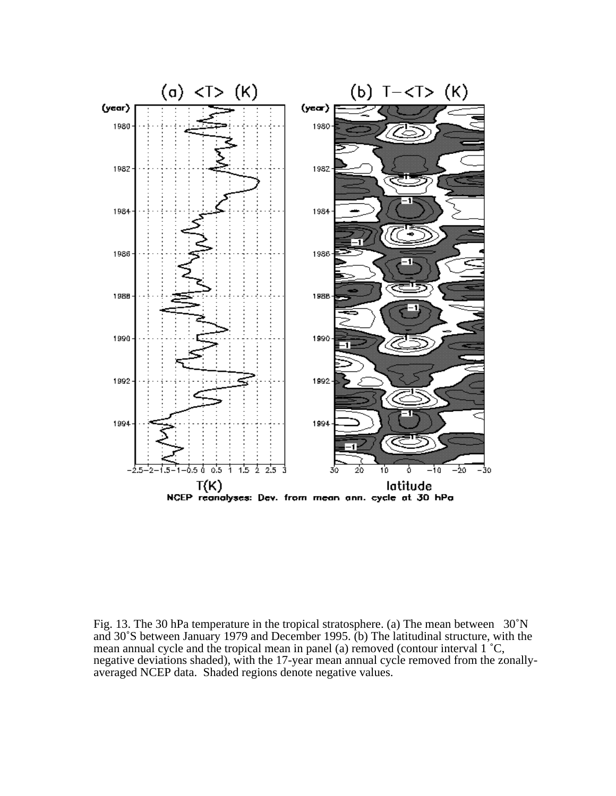

Fig. 13. The 30 hPa temperature in the tropical stratosphere. (a) The mean between 30˚N and 30˚S between January 1979 and December 1995. (b) The latitudinal structure, with the mean annual cycle and the tropical mean in panel (a) removed (contour interval 1 ˚C, negative deviations shaded), with the 17-year mean annual cycle removed from the zonallyaveraged NCEP data. Shaded regions denote negative values.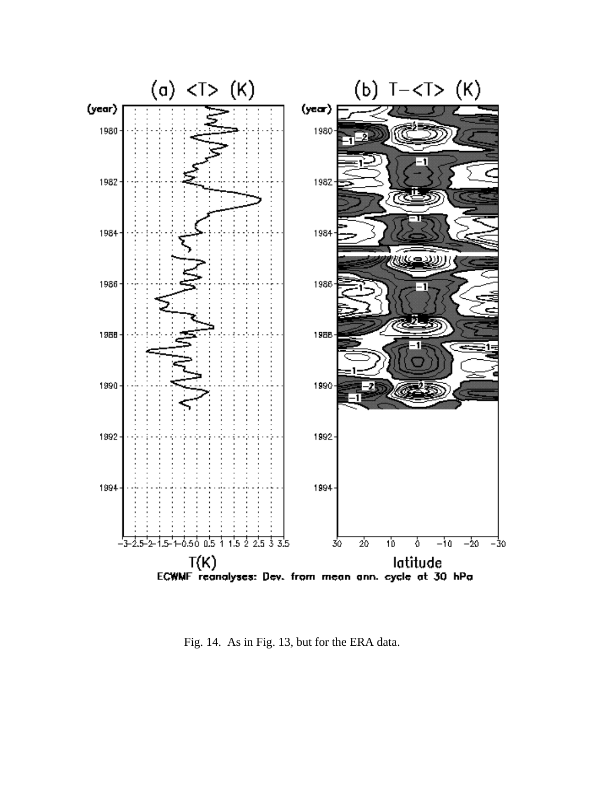

Fig. 14. As in Fig. 13, but for the ERA data.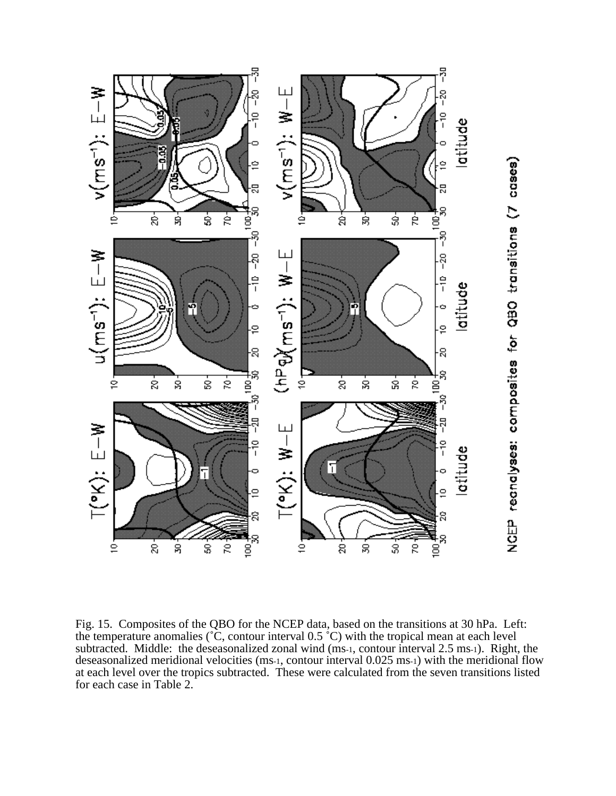

Fig. 15. Composites of the QBO for the NCEP data, based on the transitions at 30 hPa. Left: the temperature anomalies ( $\tilde{c}$ , contour interval 0.5  $\tilde{c}$ ) with the tropical mean at each level subtracted. Middle: the deseasonalized zonal wind (ms-1, contour interval 2.5 ms-1). Right, the deseasonalized meridional velocities (ms-1, contour interval 0.025 ms-1) with the meridional flow at each level over the tropics subtracted. These were calculated from the seven transitions listed for each case in Table 2.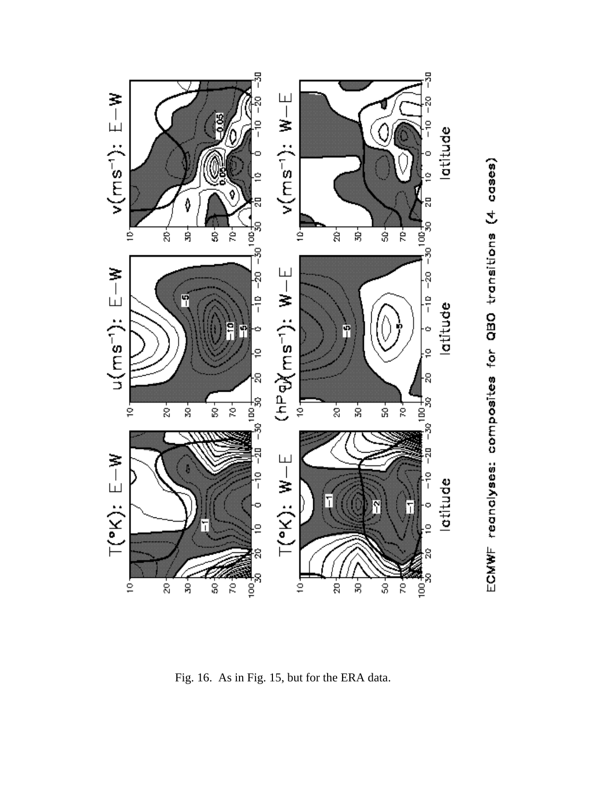

Fig. 16. As in Fig. 15, but for the ERA data.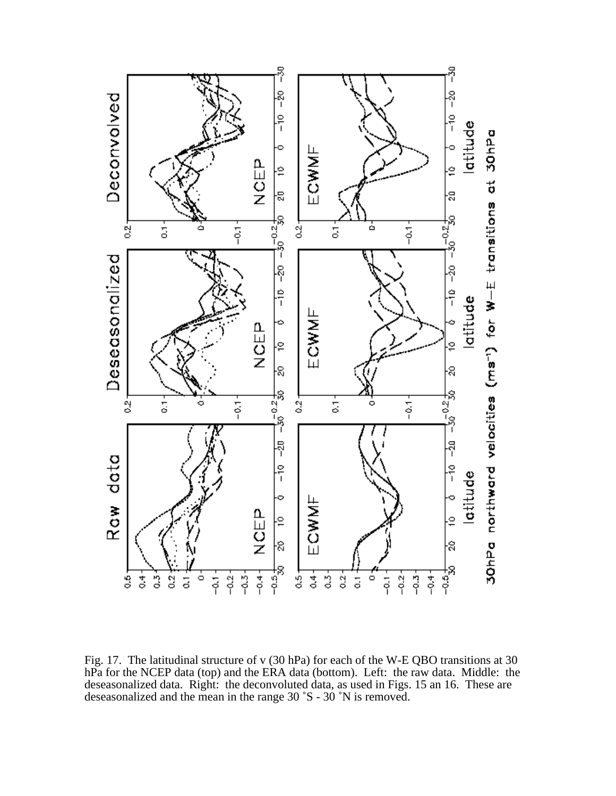

Fig. 17. The latitudinal structure of v (30 hPa) for each of the W-E QBO transitions at 30 hPa for the NCEP data (top) and the ERA data (bottom). Left: the raw data. Middle: the deseasonalized data. Right: the deconvoluted data, as used in Figs. 15 an 16. These are deseasonalized and the mean in the range 30 ˚S - 30 ˚N is removed.